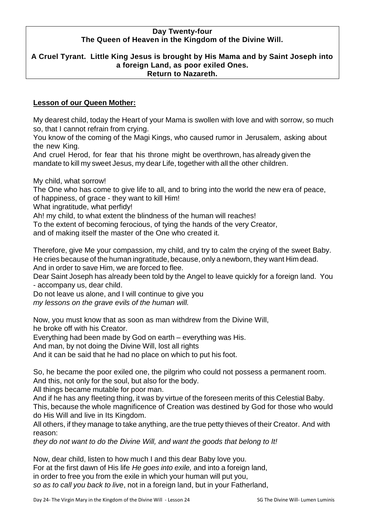#### **Day Twenty-four The Queen of Heaven in the Kingdom of the Divine Will.**

#### **A Cruel Tyrant. Little King Jesus is brought by His Mama and by Saint Joseph into a foreign Land, as poor exiled Ones. Return to Nazareth.**

## **Lesson of our Queen Mother:**

My dearest child, today the Heart of your Mama is swollen with love and with sorrow, so much so, that I cannot refrain from crying.

You know of the coming of the Magi Kings, who caused rumor in Jerusalem, asking about the new King.

And cruel Herod, for fear that his throne might be overthrown, has already given the mandate to kill my sweet Jesus, my dear Life, together with all the other children.

My child, what sorrow!

The One who has come to give life to all, and to bring into the world the new era of peace, of happiness, of grace - they want to kill Him!

What ingratitude, what perfidy!

Ah! my child, to what extent the blindness of the human will reaches!

To the extent of becoming ferocious, of tying the hands of the very Creator,

and of making itself the master of the One who created it.

Therefore, give Me your compassion, my child, and try to calm the crying of the sweet Baby. He cries because of the human ingratitude, because, only a newborn, they want Him dead.

And in order to save Him, we are forced to flee.

Dear Saint Joseph has already been told by the Angel to leave quickly for a foreign land. You - accompany us, dear child.

Do not leave us alone, and I will continue to give you

*my lessons on the grave evils of the human will.*

Now, you must know that as soon as man withdrew from the Divine Will, he broke off with his Creator.

Everything had been made by God on earth – everything was His.

And man, by not doing the Divine Will, lost all rights

And it can be said that he had no place on which to put his foot.

So, he became the poor exiled one, the pilgrim who could not possess a permanent room. And this, not only for the soul, but also for the body.

All things became mutable for poor man.

And if he has any fleeting thing, it was by virtue of the foreseen merits of this Celestial Baby. This, because the whole magnificence of Creation was destined by God for those who would do His Will and live in Its Kingdom.

All others, if they manage to take anything, are the true petty thieves of their Creator. And with reason:

*they do not want to do the Divine Will, and want the goods that belong to It!*

Now, dear child, listen to how much I and this dear Baby love you. For at the first dawn of His life *He goes into exile,* and into a foreign land, in order to free you from the exile in which your human will put you, *so as to call you back to live*, not in a foreign land, but in your Fatherland,